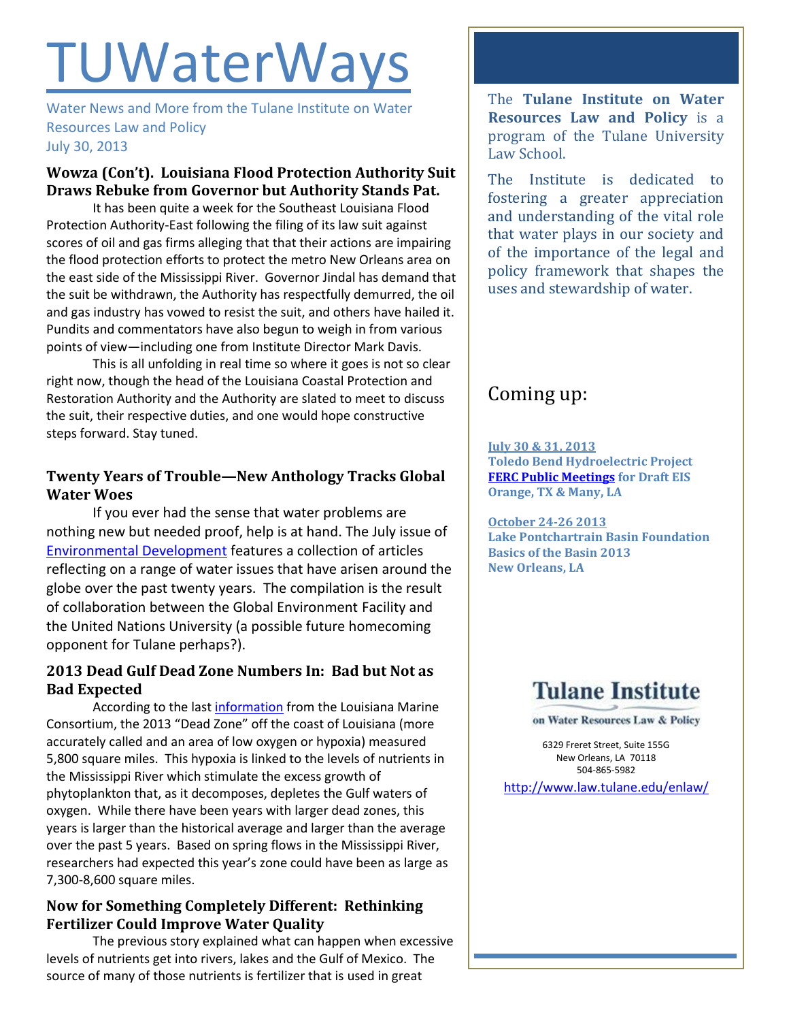# **TUWaterWays**

Water News and More from the Tulane Institute on Water Resources Law and Policy July 30, 2013

## **Wowza (Con't). Louisiana Flood Protection Authority Suit Draws Rebuke from Governor but Authority Stands Pat.**

It has been quite a week for the Southeast Louisiana Flood Protection Authority-East following the filing of its law suit against scores of oil and gas firms alleging that that their actions are impairing the flood protection efforts to protect the metro New Orleans area on the east side of the Mississippi River. Governor Jindal has demand that the suit be withdrawn, the Authority has respectfully demurred, the oil and gas industry has vowed to resist the suit, and others have hailed it. Pundits and commentators have also begun to weigh in from various points of view—including one from Institute Director Mark Davis.

This is all unfolding in real time so where it goes is not so clear right now, though the head of the Louisiana Coastal Protection and Restoration Authority and the Authority are slated to meet to discuss the suit, their respective duties, and one would hope constructive steps forward. Stay tuned.

## **Twenty Years of Trouble—New Anthology Tracks Global Water Woes**

If you ever had the sense that water problems are nothing new but needed proof, help is at hand. The July issue of [Environmental Development](http://www.sciencedirect.com/science/journal/22114645/7) features a collection of articles reflecting on a range of water issues that have arisen around the globe over the past twenty years. The compilation is the result of collaboration between the Global Environment Facility and the United Nations University (a possible future homecoming opponent for Tulane perhaps?).

## **2013 Dead Gulf Dead Zone Numbers In: Bad but Not as Bad Expected**

According to the las[t information](http://lacoast.gov/ocmc/uploads/PDFs/2013_HYPOXIA_PRESS_RELEASE.pdf) from the Louisiana Marine Consortium, the 2013 "Dead Zone" off the coast of Louisiana (more accurately called and an area of low oxygen or hypoxia) measured 5,800 square miles. This hypoxia is linked to the levels of nutrients in the Mississippi River which stimulate the excess growth of phytoplankton that, as it decomposes, depletes the Gulf waters of oxygen. While there have been years with larger dead zones, this years is larger than the historical average and larger than the average over the past 5 years. Based on spring flows in the Mississippi River, researchers had expected this year's zone could have been as large as 7,300-8,600 square miles.

## **Now for Something Completely Different: Rethinking Fertilizer Could Improve Water Quality**

The previous story explained what can happen when excessive levels of nutrients get into rivers, lakes and the Gulf of Mexico. The source of many of those nutrients is fertilizer that is used in great

The **Tulane Institute on Water Resources Law and Policy** is a program of the Tulane University Law School.

The Institute is dedicated to fostering a greater appreciation and understanding of the vital role that water plays in our society and of the importance of the legal and policy framework that shapes the uses and stewardship of water.

## Coming up:

**July 30 & 31, 2013 Toledo Bend Hydroelectric Project [FERC Public Meetings](http://www.ferc.gov/docs-filing/efiling.asp) for Draft EIS Orange, TX & Many, LA**

**October 24-26 2013 Lake Pontchartrain Basin Foundation Basics of the Basin 2013 New Orleans, LA** 

## **Tulane Institute**

on Water Resources Law & Policy

6329 Freret Street, Suite 155G New Orleans, LA 70118 504-865-5982

<http://www.law.tulane.edu/enlaw/>